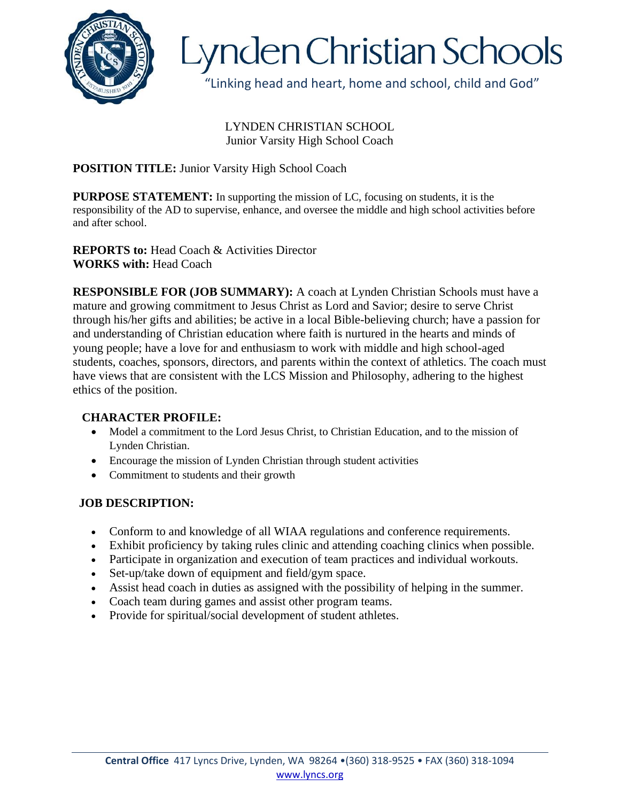

## Lynden Christian Schools

"Linking head and heart, home and school, child and God"

LYNDEN CHRISTIAN SCHOOL Junior Varsity High School Coach

**POSITION TITLE:** Junior Varsity High School Coach

**PURPOSE STATEMENT:** In supporting the mission of LC, focusing on students, it is the responsibility of the AD to supervise, enhance, and oversee the middle and high school activities before and after school.

**REPORTS to:** Head Coach & Activities Director **WORKS with:** Head Coach

**RESPONSIBLE FOR (JOB SUMMARY):** A coach at Lynden Christian Schools must have a mature and growing commitment to Jesus Christ as Lord and Savior; desire to serve Christ through his/her gifts and abilities; be active in a local Bible-believing church; have a passion for and understanding of Christian education where faith is nurtured in the hearts and minds of young people; have a love for and enthusiasm to work with middle and high school-aged students, coaches, sponsors, directors, and parents within the context of athletics. The coach must have views that are consistent with the LCS Mission and Philosophy, adhering to the highest ethics of the position.

#### **CHARACTER PROFILE:**

- Model a commitment to the Lord Jesus Christ, to Christian Education, and to the mission of Lynden Christian.
- Encourage the mission of Lynden Christian through student activities
- Commitment to students and their growth

### **JOB DESCRIPTION:**

- Conform to and knowledge of all WIAA regulations and conference requirements.
- Exhibit proficiency by taking rules clinic and attending coaching clinics when possible.
- Participate in organization and execution of team practices and individual workouts.
- Set-up/take down of equipment and field/gym space.
- Assist head coach in duties as assigned with the possibility of helping in the summer.
- Coach team during games and assist other program teams.
- Provide for spiritual/social development of student athletes.